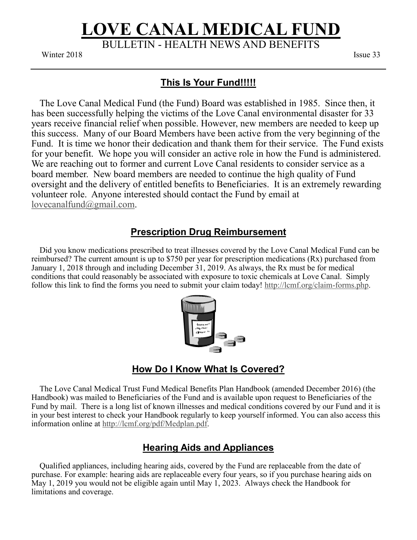# **LOVE CANAL MEDICAL FUND** BULLETIN - HEALTH NEWS AND BENEFITS

 $\frac{1}{2018}$  is subseted to the  $\frac{1}{2018}$ Winter 2018 **Issue 33** 

### **This Is Your Fund!!!!!**

 The Love Canal Medical Fund (the Fund) Board was established in 1985. Since then, it has been successfully helping the victims of the Love Canal environmental disaster for 33 years receive financial relief when possible. However, new members are needed to keep up this success. Many of our Board Members have been active from the very beginning of the Fund. It is time we honor their dedication and thank them for their service. The Fund exists for your benefit. We hope you will consider an active role in how the Fund is administered. We are reaching out to former and current Love Canal residents to consider service as a board member. New board members are needed to continue the high quality of Fund oversight and the delivery of entitled benefits to Beneficiaries. It is an extremely rewarding volunteer role. Anyone interested should contact the Fund by email at [lovecanalfund@gmail.com.](mailto:lovecanalfund@gmail.com)

# **Prescription Drug Reimbursement**

 Did you know medications prescribed to treat illnesses covered by the Love Canal Medical Fund can be reimbursed? The current amount is up to \$750 per year for prescription medications (Rx) purchased from January 1, 2018 through and including December 31, 2019. As always, the Rx must be for medical conditions that could reasonably be associated with exposure to toxic chemicals at Love Canal. Simply follow this link to find the forms you need to submit your claim today! [http://lcmf.org/claim](http://lcmf.org/claim-forms.php)-forms.php.



### **How Do I Know What Is Covered?**

 The Love Canal Medical Trust Fund Medical Benefits Plan Handbook (amended December 2016) (the Handbook) was mailed to Beneficiaries of the Fund and is available upon request to Beneficiaries of the Fund by mail. There is a long list of known illnesses and medical conditions covered by our Fund and it is in your best interest to check your Handbook regularly to keep yourself informed. You can also access this information online at [http://lcmf.org/pdf/Medplan.pdf.](http://lcmf.org/pdf/Medplan.pdf)

## **Hearing Aids and Appliances**

 Qualified appliances, including hearing aids, covered by the Fund are replaceable from the date of purchase. For example: hearing aids are replaceable every four years, so if you purchase hearing aids on May 1, 2019 you would not be eligible again until May 1, 2023. Always check the Handbook for limitations and coverage.